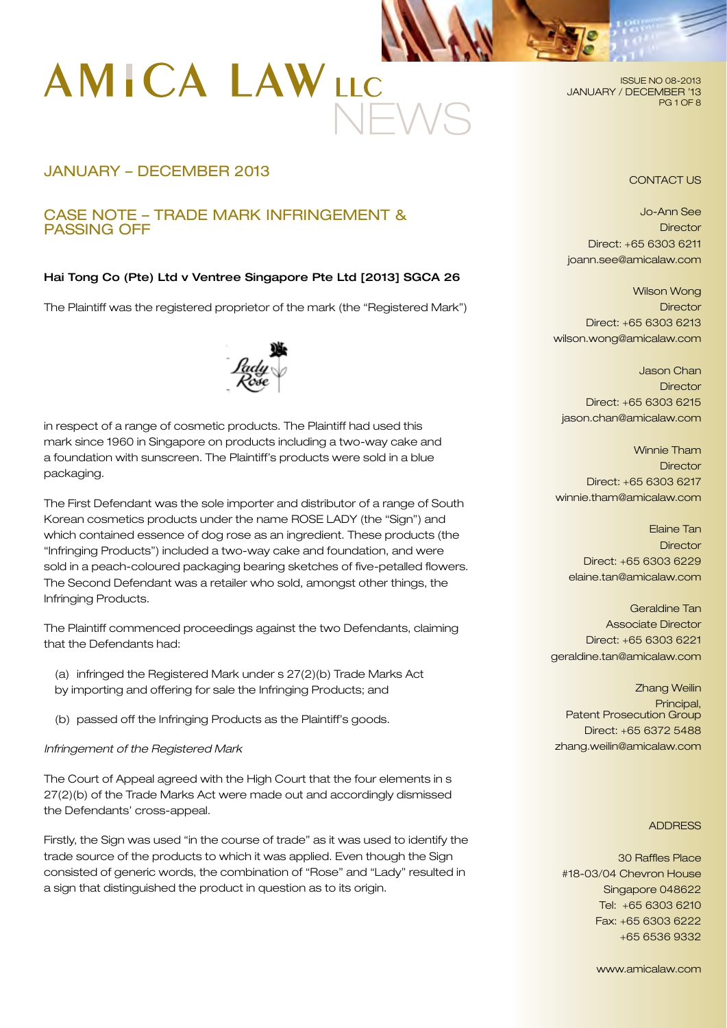

# JANUARY – DECEMBER 2013

## CASE NOTE – TRADE MARK INFRINGEMENT & PASSING OFF

## Hai Tong Co (Pte) Ltd v Ventree Singapore Pte Ltd [2013] SGCA 26

The Plaintiff was the registered proprietor of the mark (the "Registered Mark")



in respect of a range of cosmetic products. The Plaintiff had used this mark since 1960 in Singapore on products including a two-way cake and a foundation with sunscreen. The Plaintiff's products were sold in a blue packaging.

The First Defendant was the sole importer and distributor of a range of South Korean cosmetics products under the name ROSE LADY (the "Sign") and which contained essence of dog rose as an ingredient. These products (the "Infringing Products") included a two-way cake and foundation, and were sold in a peach-coloured packaging bearing sketches of five-petalled flowers. The Second Defendant was a retailer who sold, amongst other things, the Infringing Products.

The Plaintiff commenced proceedings against the two Defendants, claiming that the Defendants had:

- (a) infringed the Registered Mark under s 27(2)(b) Trade Marks Act by importing and offering for sale the Infringing Products; and
- (b) passed off the Infringing Products as the Plaintiff's goods.

*Infringement of the Registered Mark*

The Court of Appeal agreed with the High Court that the four elements in s 27(2)(b) of the Trade Marks Act were made out and accordingly dismissed the Defendants' cross-appeal.

Firstly, the Sign was used "in the course of trade" as it was used to identify the trade source of the products to which it was applied. Even though the Sign consisted of generic words, the combination of "Rose" and "Lady" resulted in a sign that distinguished the product in question as to its origin.

ISSUE NO 08-2013 JANUARY / DECEMBER '13 PG 1 OF 8

#### CONTACT US

Jo-Ann See **Director** Direct: +65 6303 6211 joann.see@amicalaw.com

Wilson Wong **Director** Direct: +65 6303 6213 wilson.wong@amicalaw.com

Jason Chan **Director** Direct: +65 6303 6215 jason.chan@amicalaw.com

Winnie Tham **Director** Direct: +65 6303 6217 winnie.tham@amicalaw.com

Elaine Tan **Director** Direct: +65 6303 6229 elaine.tan@amicalaw.com

Geraldine Tan Associate Director Direct: +65 6303 6221 geraldine.tan@amicalaw.com

Zhang Weilin Principal, Patent Prosecution Group Direct: +65 6372 5488 zhang.weilin@amicalaw.com

#### **ADDRESS**

30 Raffles Place #18-03/04 Chevron House Singapore 048622 Tel: +65 6303 6210 Fax: +65 6303 6222 +65 6536 9332

www.amicalaw.com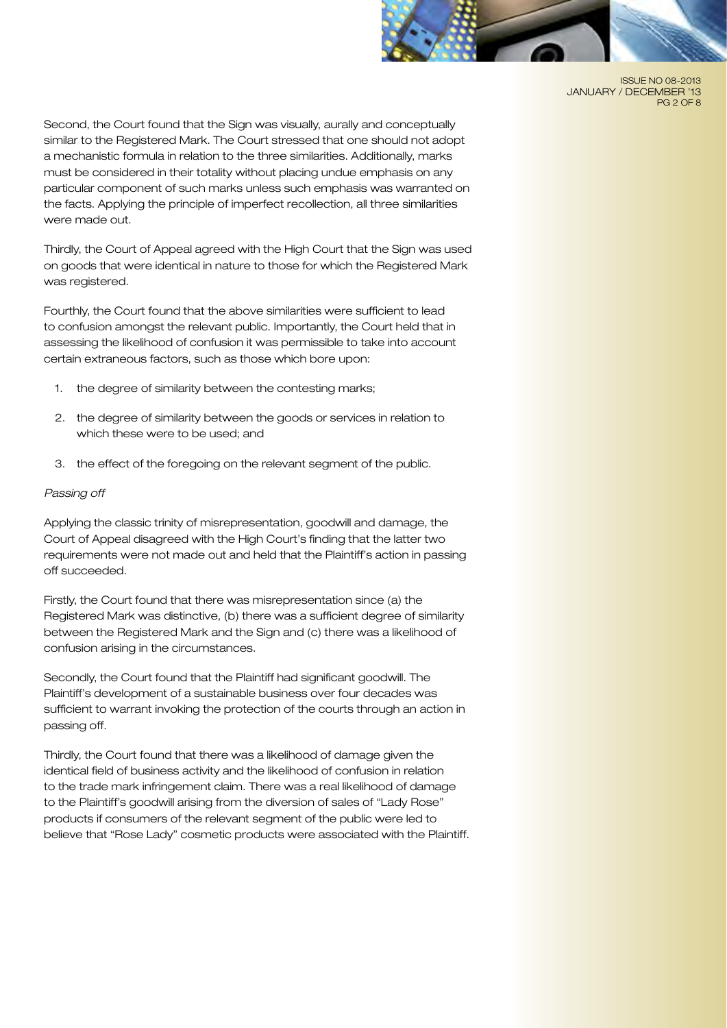

ISSUE NO 08-2013 JANUARY / DECEMBER '13 PG 2 OF 8

Second, the Court found that the Sign was visually, aurally and conceptually similar to the Registered Mark. The Court stressed that one should not adopt a mechanistic formula in relation to the three similarities. Additionally, marks must be considered in their totality without placing undue emphasis on any particular component of such marks unless such emphasis was warranted on the facts. Applying the principle of imperfect recollection, all three similarities were made out.

Thirdly, the Court of Appeal agreed with the High Court that the Sign was used on goods that were identical in nature to those for which the Registered Mark was registered.

Fourthly, the Court found that the above similarities were sufficient to lead to confusion amongst the relevant public. Importantly, the Court held that in assessing the likelihood of confusion it was permissible to take into account certain extraneous factors, such as those which bore upon:

- 1. the degree of similarity between the contesting marks;
- 2. the degree of similarity between the goods or services in relation to which these were to be used; and
- 3. the effect of the foregoing on the relevant segment of the public.

### *Passing off*

Applying the classic trinity of misrepresentation, goodwill and damage, the Court of Appeal disagreed with the High Court's finding that the latter two requirements were not made out and held that the Plaintiff's action in passing off succeeded.

Firstly, the Court found that there was misrepresentation since (a) the Registered Mark was distinctive, (b) there was a sufficient degree of similarity between the Registered Mark and the Sign and (c) there was a likelihood of confusion arising in the circumstances.

Secondly, the Court found that the Plaintiff had significant goodwill. The Plaintiff's development of a sustainable business over four decades was sufficient to warrant invoking the protection of the courts through an action in passing off.

Thirdly, the Court found that there was a likelihood of damage given the identical field of business activity and the likelihood of confusion in relation to the trade mark infringement claim. There was a real likelihood of damage to the Plaintiff's goodwill arising from the diversion of sales of "Lady Rose" products if consumers of the relevant segment of the public were led to believe that "Rose Lady" cosmetic products were associated with the Plaintiff.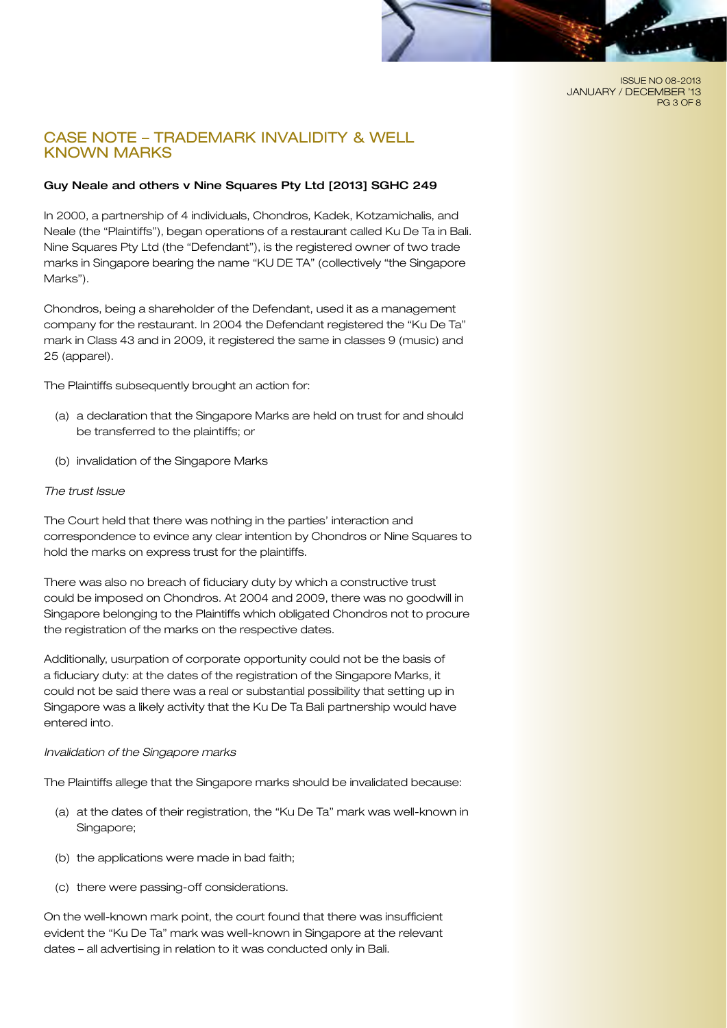#### ISSUE NO 08-2013 JANUARY / DECEMBER '13 PG 3 OF 8

## CASE NOTE – TRADEMARK INVALIDITY & WELL KNOWN MARKS

## Guy Neale and others v Nine Squares Pty Ltd [2013] SGHC 249

In 2000, a partnership of 4 individuals, Chondros, Kadek, Kotzamichalis, and Neale (the "Plaintiffs"), began operations of a restaurant called Ku De Ta in Bali. Nine Squares Pty Ltd (the "Defendant"), is the registered owner of two trade marks in Singapore bearing the name "KU DE TA" (collectively "the Singapore Marks").

Chondros, being a shareholder of the Defendant, used it as a management company for the restaurant. In 2004 the Defendant registered the "Ku De Ta" mark in Class 43 and in 2009, it registered the same in classes 9 (music) and 25 (apparel).

The Plaintiffs subsequently brought an action for:

- (a) a declaration that the Singapore Marks are held on trust for and should be transferred to the plaintiffs; or
- (b) invalidation of the Singapore Marks

### *The trust Issue*

The Court held that there was nothing in the parties' interaction and correspondence to evince any clear intention by Chondros or Nine Squares to hold the marks on express trust for the plaintiffs.

There was also no breach of fiduciary duty by which a constructive trust could be imposed on Chondros. At 2004 and 2009, there was no goodwill in Singapore belonging to the Plaintiffs which obligated Chondros not to procure the registration of the marks on the respective dates.

Additionally, usurpation of corporate opportunity could not be the basis of a fiduciary duty: at the dates of the registration of the Singapore Marks, it could not be said there was a real or substantial possibility that setting up in Singapore was a likely activity that the Ku De Ta Bali partnership would have entered into.

#### *Invalidation of the Singapore marks*

The Plaintiffs allege that the Singapore marks should be invalidated because:

- (a) at the dates of their registration, the "Ku De Ta" mark was well-known in Singapore;
- (b) the applications were made in bad faith;
- (c) there were passing-off considerations.

On the well-known mark point, the court found that there was insufficient evident the "Ku De Ta" mark was well-known in Singapore at the relevant dates – all advertising in relation to it was conducted only in Bali.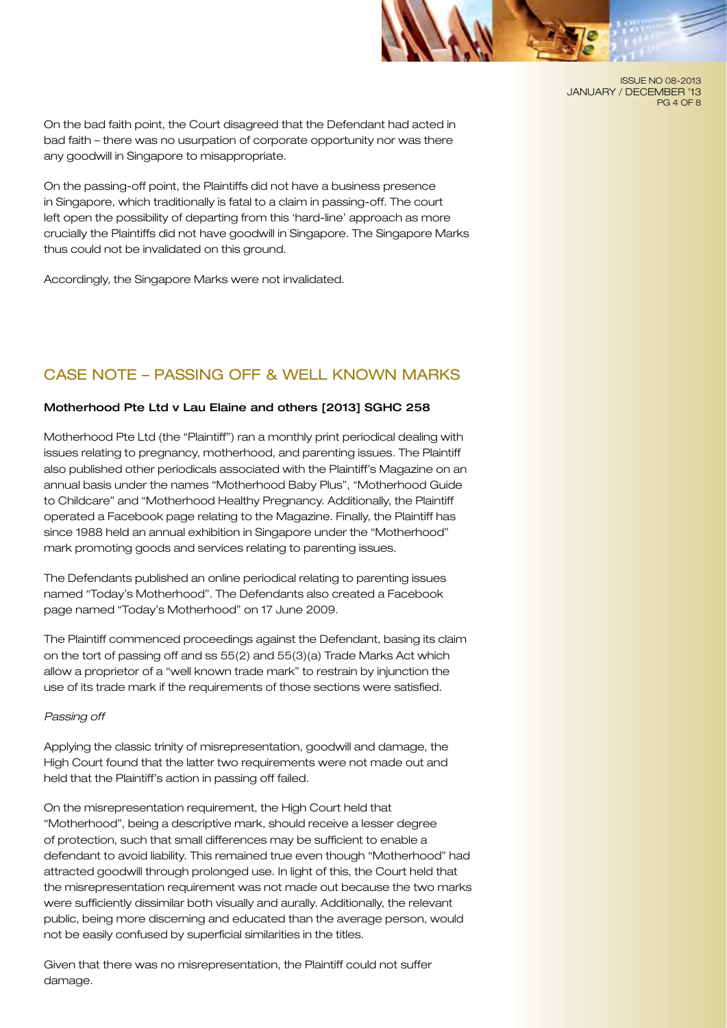ISSUE NO 08-2013 JANUARY / DECEMBER '13 PG 4 OF 8

On the bad faith point, the Court disagreed that the Defendant had acted in bad faith – there was no usurpation of corporate opportunity nor was there any goodwill in Singapore to misappropriate.

On the passing-off point, the Plaintiffs did not have a business presence in Singapore, which traditionally is fatal to a claim in passing-off. The court left open the possibility of departing from this 'hard-line' approach as more crucially the Plaintiffs did not have goodwill in Singapore. The Singapore Marks thus could not be invalidated on this ground.

Accordingly, the Singapore Marks were not invalidated.

## CASE NOTE – PASSING OFF & WELL KNOWN MARKS

### Motherhood Pte Ltd v Lau Elaine and others [2013] SGHC 258

Motherhood Pte Ltd (the "Plaintiff") ran a monthly print periodical dealing with issues relating to pregnancy, motherhood, and parenting issues. The Plaintiff also published other periodicals associated with the Plaintiff's Magazine on an annual basis under the names "Motherhood Baby Plus", "Motherhood Guide to Childcare" and "Motherhood Healthy Pregnancy. Additionally, the Plaintiff operated a Facebook page relating to the Magazine. Finally, the Plaintiff has since 1988 held an annual exhibition in Singapore under the "Motherhood" mark promoting goods and services relating to parenting issues.

The Defendants published an online periodical relating to parenting issues named "Today's Motherhood". The Defendants also created a Facebook page named "Today's Motherhood" on 17 June 2009.

The Plaintiff commenced proceedings against the Defendant, basing its claim on the tort of passing off and ss 55(2) and 55(3)(a) Trade Marks Act which allow a proprietor of a "well known trade mark" to restrain by injunction the use of its trade mark if the requirements of those sections were satisfied.

#### *Passing off*

Applying the classic trinity of misrepresentation, goodwill and damage, the High Court found that the latter two requirements were not made out and held that the Plaintiff's action in passing off failed.

On the misrepresentation requirement, the High Court held that "Motherhood", being a descriptive mark, should receive a lesser degree of protection, such that small differences may be sufficient to enable a defendant to avoid liability. This remained true even though "Motherhood" had attracted goodwill through prolonged use. In light of this, the Court held that the misrepresentation requirement was not made out because the two marks were sufficiently dissimilar both visually and aurally. Additionally, the relevant public, being more discerning and educated than the average person, would not be easily confused by superficial similarities in the titles.

Given that there was no misrepresentation, the Plaintiff could not suffer damage.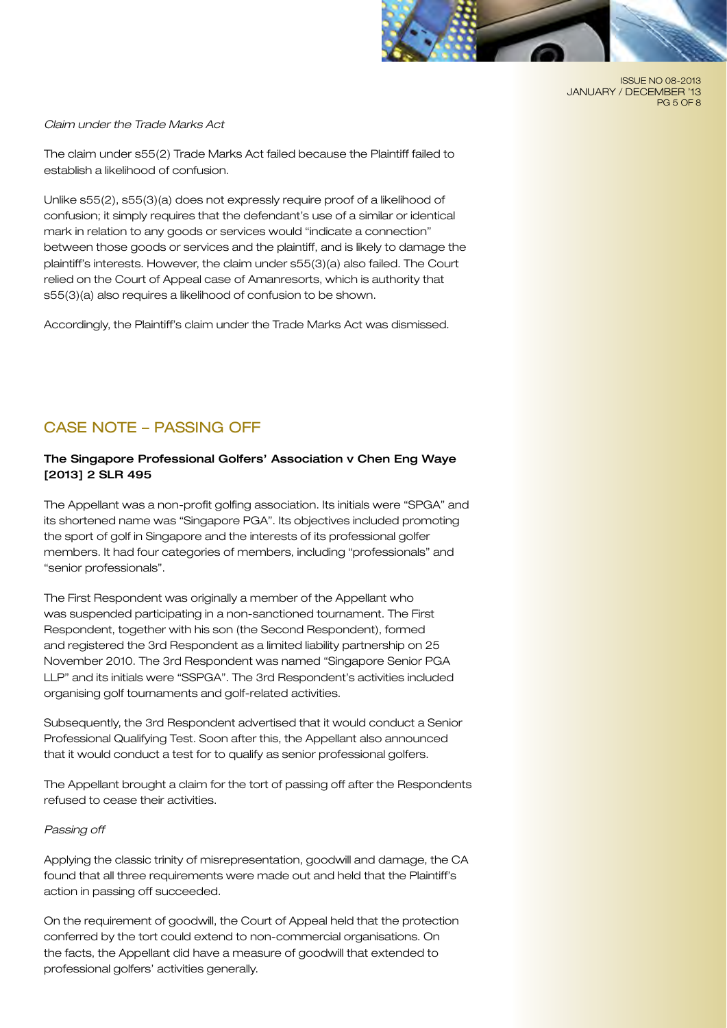

ISSUE NO 08-2013 JANUARY / DECEMBER '13 PG 5 OF 8

#### *Claim under the Trade Marks Act*

The claim under s55(2) Trade Marks Act failed because the Plaintiff failed to establish a likelihood of confusion.

Unlike s55(2), s55(3)(a) does not expressly require proof of a likelihood of confusion; it simply requires that the defendant's use of a similar or identical mark in relation to any goods or services would "indicate a connection" between those goods or services and the plaintiff, and is likely to damage the plaintiff's interests. However, the claim under s55(3)(a) also failed. The Court relied on the Court of Appeal case of Amanresorts, which is authority that s55(3)(a) also requires a likelihood of confusion to be shown.

Accordingly, the Plaintiff's claim under the Trade Marks Act was dismissed.

# CASE NOTE – PASSING OFF

## The Singapore Professional Golfers' Association v Chen Eng Waye [2013] 2 SLR 495

The Appellant was a non-profit golfing association. Its initials were "SPGA" and its shortened name was "Singapore PGA". Its objectives included promoting the sport of golf in Singapore and the interests of its professional golfer members. It had four categories of members, including "professionals" and "senior professionals".

The First Respondent was originally a member of the Appellant who was suspended participating in a non-sanctioned tournament. The First Respondent, together with his son (the Second Respondent), formed and registered the 3rd Respondent as a limited liability partnership on 25 November 2010. The 3rd Respondent was named "Singapore Senior PGA LLP" and its initials were "SSPGA". The 3rd Respondent's activities included organising golf tournaments and golf-related activities.

Subsequently, the 3rd Respondent advertised that it would conduct a Senior Professional Qualifying Test. Soon after this, the Appellant also announced that it would conduct a test for to qualify as senior professional golfers.

The Appellant brought a claim for the tort of passing off after the Respondents refused to cease their activities.

### *Passing off*

Applying the classic trinity of misrepresentation, goodwill and damage, the CA found that all three requirements were made out and held that the Plaintiff's action in passing off succeeded.

On the requirement of goodwill, the Court of Appeal held that the protection conferred by the tort could extend to non-commercial organisations. On the facts, the Appellant did have a measure of goodwill that extended to professional golfers' activities generally.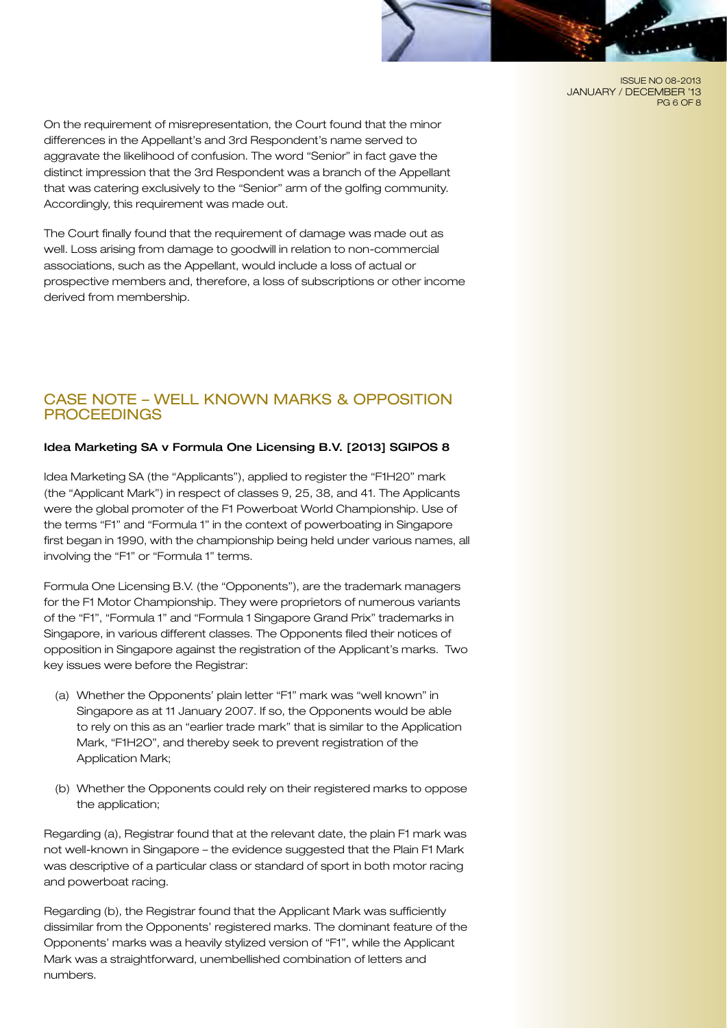ISSUE NO 08-2013 JANUARY / DECEMBER '13 PG 6 OF 8

On the requirement of misrepresentation, the Court found that the minor differences in the Appellant's and 3rd Respondent's name served to aggravate the likelihood of confusion. The word "Senior" in fact gave the distinct impression that the 3rd Respondent was a branch of the Appellant that was catering exclusively to the "Senior" arm of the golfing community. Accordingly, this requirement was made out.

The Court finally found that the requirement of damage was made out as well. Loss arising from damage to goodwill in relation to non-commercial associations, such as the Appellant, would include a loss of actual or prospective members and, therefore, a loss of subscriptions or other income derived from membership.

## CASE NOTE – WELL KNOWN MARKS & OPPOSITION **PROCEEDINGS**

### Idea Marketing SA v Formula One Licensing B.V. [2013] SGIPOS 8

Idea Marketing SA (the "Applicants"), applied to register the "F1H20" mark (the "Applicant Mark") in respect of classes 9, 25, 38, and 41. The Applicants were the global promoter of the F1 Powerboat World Championship. Use of the terms "F1" and "Formula 1" in the context of powerboating in Singapore first began in 1990, with the championship being held under various names, all involving the "F1" or "Formula 1" terms.

Formula One Licensing B.V. (the "Opponents"), are the trademark managers for the F1 Motor Championship. They were proprietors of numerous variants of the "F1", "Formula 1" and "Formula 1 Singapore Grand Prix" trademarks in Singapore, in various different classes. The Opponents filed their notices of opposition in Singapore against the registration of the Applicant's marks. Two key issues were before the Registrar:

- (a) Whether the Opponents' plain letter "F1" mark was "well known" in Singapore as at 11 January 2007. If so, the Opponents would be able to rely on this as an "earlier trade mark" that is similar to the Application Mark, "F1H2O", and thereby seek to prevent registration of the Application Mark;
- (b) Whether the Opponents could rely on their registered marks to oppose the application;

Regarding (a), Registrar found that at the relevant date, the plain F1 mark was not well-known in Singapore – the evidence suggested that the Plain F1 Mark was descriptive of a particular class or standard of sport in both motor racing and powerboat racing.

Regarding (b), the Registrar found that the Applicant Mark was sufficiently dissimilar from the Opponents' registered marks. The dominant feature of the Opponents' marks was a heavily stylized version of "F1", while the Applicant Mark was a straightforward, unembellished combination of letters and numbers.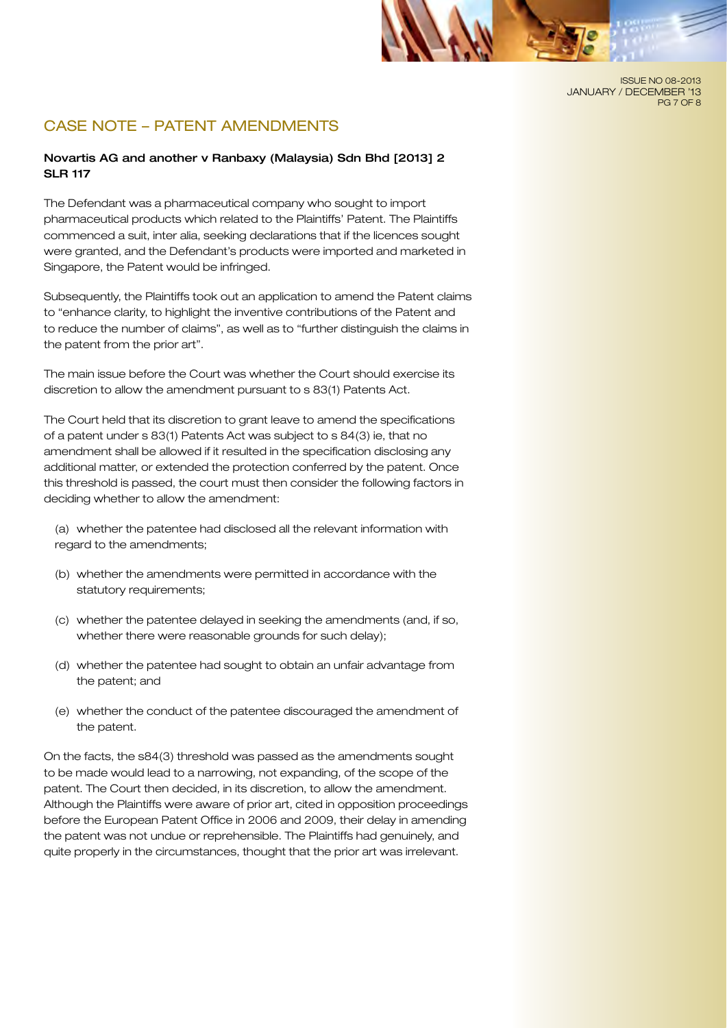

# CASE NOTE – PATENT AMENDMENTS

## Novartis AG and another v Ranbaxy (Malaysia) Sdn Bhd [2013] 2 SLR 117

The Defendant was a pharmaceutical company who sought to import pharmaceutical products which related to the Plaintiffs' Patent. The Plaintiffs commenced a suit, inter alia, seeking declarations that if the licences sought were granted, and the Defendant's products were imported and marketed in Singapore, the Patent would be infringed.

Subsequently, the Plaintiffs took out an application to amend the Patent claims to "enhance clarity, to highlight the inventive contributions of the Patent and to reduce the number of claims", as well as to "further distinguish the claims in the patent from the prior art".

The main issue before the Court was whether the Court should exercise its discretion to allow the amendment pursuant to s 83(1) Patents Act.

The Court held that its discretion to grant leave to amend the specifications of a patent under s 83(1) Patents Act was subject to s 84(3) ie, that no amendment shall be allowed if it resulted in the specification disclosing any additional matter, or extended the protection conferred by the patent. Once this threshold is passed, the court must then consider the following factors in deciding whether to allow the amendment:

(a) whether the patentee had disclosed all the relevant information with regard to the amendments;

- (b) whether the amendments were permitted in accordance with the statutory requirements;
- (c) whether the patentee delayed in seeking the amendments (and, if so, whether there were reasonable grounds for such delay);
- (d) whether the patentee had sought to obtain an unfair advantage from the patent; and
- (e) whether the conduct of the patentee discouraged the amendment of the patent.

On the facts, the s84(3) threshold was passed as the amendments sought to be made would lead to a narrowing, not expanding, of the scope of the patent. The Court then decided, in its discretion, to allow the amendment. Although the Plaintiffs were aware of prior art, cited in opposition proceedings before the European Patent Office in 2006 and 2009, their delay in amending the patent was not undue or reprehensible. The Plaintiffs had genuinely, and quite properly in the circumstances, thought that the prior art was irrelevant.